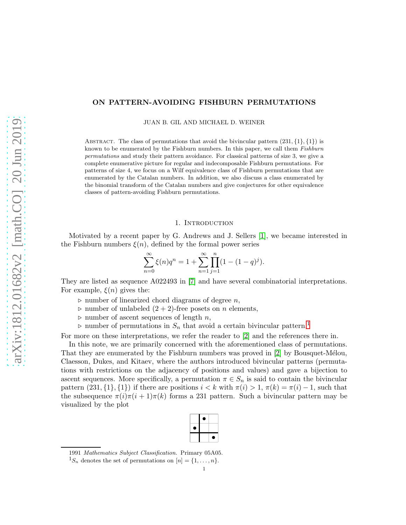# ON PATTERN-AVOIDING FISHBURN PERMUTATIONS

JUAN B. GIL AND MICHAEL D. WEINER

ABSTRACT. The class of permutations that avoid the bivincular pattern  $(231, \{1\}, \{1\})$  is known to be enumerated by the Fishburn numbers. In this paper, we call them Fishburn permutations and study their pattern avoidance. For classical patterns of size 3, we give a complete enumerative picture for regular and indecomposable Fishburn permutations. For patterns of size 4, we focus on a Wilf equivalence class of Fishburn permutations that are enumerated by the Catalan numbers. In addition, we also discuss a class enumerated by the binomial transform of the Catalan numbers and give conjectures for other equivalence classes of pattern-avoiding Fishburn permutations.

### 1. INTRODUCTION

Motivated by a recent paper by G. Andrews and J. Sellers [\[1\]](#page-12-0), we became interested in the Fishburn numbers  $\xi(n)$ , defined by the formal power series

$$
\sum_{n=0}^{\infty} \xi(n)q^n = 1 + \sum_{n=1}^{\infty} \prod_{j=1}^{n} (1 - (1 - q)^j).
$$

They are listed as sequence A022493 in [\[7\]](#page-13-0) and have several combinatorial interpretations. For example,  $\xi(n)$  gives the:

- $\triangleright$  number of linearized chord diagrams of degree *n*,
- $\triangleright$  number of unlabeled  $(2 + 2)$ -free posets on *n* elements,
- $\triangleright$  number of ascent sequences of length n,
- $\triangleright$  number of permutations in  $S_n$  that avoid a certain bivincular pattern.<sup>[1](#page-0-0)</sup>

For more on these interpretations, we refer the reader to [\[2\]](#page-12-1) and the references there in.

In this note, we are primarily concerned with the aforementioned class of permutations. That they are enumerated by the Fishburn numbers was proved in [\[2\]](#page-12-1) by Bousquet-Mélou, Claesson, Dukes, and Kitaev, where the authors introduced bivincular patterns (permutations with restrictions on the adjacency of positions and values) and gave a bijection to ascent sequences. More specifically, a permutation  $\pi \in S_n$  is said to contain the bivincular pattern  $(231,\{1\},\{1\})$  if there are positions  $i < k$  with  $\pi(i) > 1$ ,  $\pi(k) = \pi(i) - 1$ , such that the subsequence  $\pi(i)\pi(i+1)\pi(k)$  forms a 231 pattern. Such a bivincular pattern may be visualized by the plot

| 9 |   |
|---|---|
|   |   |
|   | D |

<sup>1991</sup> Mathematics Subject Classification. Primary 05A05.

<span id="page-0-0"></span> ${}^{1}S_{n}$  denotes the set of permutations on  $[n] = \{1, \ldots, n\}.$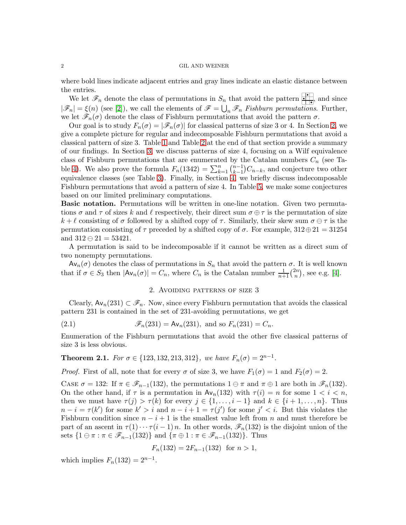where bold lines indicate adjacent entries and gray lines indicate an elastic distance between the entries.

We let  $\mathscr{F}_n$  denote the class of permutations in  $S_n$  that avoid the pattern  $\bullet$ , and since  $|\mathscr{F}_n| = \xi(n)$  (see [\[2\]](#page-12-1)), we call the elements of  $\mathscr{F} = \bigcup_n \mathscr{F}_n$  Fishburn permutations. Further, we let  $\mathscr{F}_n(\sigma)$  denote the class of Fishburn permutations that avoid the pattern  $\sigma$ .

Our goal is to study  $F_n(\sigma) = |\mathscr{F}_n(\sigma)|$  for classical patterns of size 3 or 4. In Section [2,](#page-1-0) we give a complete picture for regular and indecomposable Fishburn permutations that avoid a classical pattern of size 3. Table [1](#page-5-0) and Table [2](#page-5-1) at the end of that section provide a summary of our findings. In Section [3,](#page-5-2) we discuss patterns of size 4, focusing on a Wilf equivalence class of Fishburn permutations that are enumerated by the Catalan numbers  $C_n$  (see Ta-ble [4\)](#page-7-0). We also prove the formula  $F_n(1342) = \sum_{k=1}^n {n-1 \choose k-1}$  $\binom{n-1}{k-1}C_{n-k}$ , and conjecture two other equivalence classes (see Table [3\)](#page-6-0). Finally, in Section [4,](#page-12-2) we briefly discuss indecomposable Fishburn permutations that avoid a pattern of size 4. In Table [5,](#page-13-1) we make some conjectures based on our limited preliminary computations.

Basic notation. Permutations will be written in one-line notation. Given two permutations  $\sigma$  and  $\tau$  of sizes k and l respectively, their direct sum  $\sigma \oplus \tau$  is the permutation of size  $k + \ell$  consisting of  $\sigma$  followed by a shifted copy of  $\tau$ . Similarly, their skew sum  $\sigma \ominus \tau$  is the permutation consisting of  $\tau$  preceded by a shifted copy of  $\sigma$ . For example, 312⊕21 = 31254 and  $312 \oplus 21 = 53421$ .

A permutation is said to be indecomposable if it cannot be written as a direct sum of two nonempty permutations.

<span id="page-1-0"></span> $Av_n(\sigma)$  denotes the class of permutations in  $S_n$  that avoid the pattern  $\sigma$ . It is well known that if  $\sigma \in S_3$  then  $|\mathsf{Av}_n(\sigma)| = C_n$ , where  $C_n$  is the Catalan number  $\frac{1}{n+1} {2n \choose n}$  $\binom{2n}{n}$ , see e.g. [\[4\]](#page-13-2).

## <span id="page-1-2"></span>2. Avoiding patterns of size 3

Clearly,  $\mathsf{Av}_n(231) \subset \mathscr{F}_n$ . Now, since every Fishburn permutation that avoids the classical pattern 231 is contained in the set of 231-avoiding permutations, we get

(2.1) 
$$
\mathscr{F}_n(231) = \mathsf{Av}_n(231), \text{ and so } F_n(231) = C_n.
$$

Enumeration of the Fishburn permutations that avoid the other five classical patterns of size 3 is less obvious.

<span id="page-1-1"></span>**Theorem 2.1.** For  $\sigma \in \{123, 132, 213, 312\}$ , we have  $F_n(\sigma) = 2^{n-1}$ .

*Proof.* First of all, note that for every  $\sigma$  of size 3, we have  $F_1(\sigma) = 1$  and  $F_2(\sigma) = 2$ .

CASE  $\sigma = 132$ : If  $\pi \in \mathscr{F}_{n-1}(132)$ , the permutations  $1 \ominus \pi$  and  $\pi \oplus 1$  are both in  $\mathscr{F}_n(132)$ . On the other hand, if  $\tau$  is a permutation in  $\mathsf{Av}_n(132)$  with  $\tau(i) = n$  for some  $1 \leq i \leq n$ , then we must have  $\tau(j) > \tau(k)$  for every  $j \in \{1, \ldots, i-1\}$  and  $k \in \{i+1, \ldots, n\}$ . Thus  $n-i = \tau(k')$  for some  $k' > i$  and  $n-i+1 = \tau(j')$  for some  $j' < i$ . But this violates the Fishburn condition since  $n-i+1$  is the smallest value left from n and must therefore be part of an ascent in  $\tau(1)\cdots\tau(i-1)n$ . In other words,  $\mathscr{F}_n(132)$  is the disjoint union of the sets  $\{1 \ominus \pi : \pi \in \mathscr{F}_{n-1}(132)\}\$  and  $\{\pi \oplus 1 : \pi \in \mathscr{F}_{n-1}(132)\}\$ . Thus

$$
F_n(132) = 2F_{n-1}(132) \text{ for } n > 1,
$$

which implies  $F_n(132) = 2^{n-1}$ .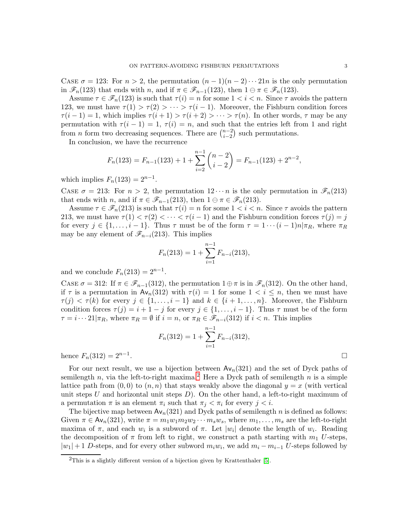CASE  $\sigma = 123$ : For  $n > 2$ , the permutation  $(n - 1)(n - 2) \cdots 21n$  is the only permutation in  $\mathscr{F}_n(123)$  that ends with n, and if  $\pi \in \mathscr{F}_{n-1}(123)$ , then  $1 \ominus \pi \in \mathscr{F}_n(123)$ .

Assume  $\tau \in \mathscr{F}_n(123)$  is such that  $\tau(i) = n$  for some  $1 \leq i \leq n$ . Since  $\tau$  avoids the pattern 123, we must have  $\tau(1) > \tau(2) > \cdots > \tau(i-1)$ . Moreover, the Fishburn condition forces  $\tau(i-1) = 1$ , which implies  $\tau(i+1) > \tau(i+2) > \cdots > \tau(n)$ . In other words,  $\tau$  may be any permutation with  $\tau(i-1) = 1$ ,  $\tau(i) = n$ , and such that the entries left from 1 and right from *n* form two decreasing sequences. There are  $\binom{n-2}{i-2}$  $\binom{n-2}{i-2}$  such permutations.

In conclusion, we have the recurrence

$$
F_n(123) = F_{n-1}(123) + 1 + \sum_{i=2}^{n-1} {n-2 \choose i-2} = F_{n-1}(123) + 2^{n-2},
$$

which implies  $F_n(123) = 2^{n-1}$ .

CASE  $\sigma = 213$ : For  $n > 2$ , the permutation  $12 \cdots n$  is the only permutation in  $\mathscr{F}_n(213)$ that ends with *n*, and if  $\pi \in \mathscr{F}_{n-1}(213)$ , then  $1 \oplus \pi \in \mathscr{F}_n(213)$ .

Assume  $\tau \in \mathscr{F}_n(213)$  is such that  $\tau(i) = n$  for some  $1 \leq i \leq n$ . Since  $\tau$  avoids the pattern 213, we must have  $\tau(1) < \tau(2) < \cdots < \tau(i-1)$  and the Fishburn condition forces  $\tau(j) = j$ for every  $j \in \{1, \ldots, i-1\}$ . Thus  $\tau$  must be of the form  $\tau = 1 \cdots (i-1)n | \pi_R$ , where  $\pi_R$ may be any element of  $\mathscr{F}_{n-i}(213)$ . This implies

$$
F_n(213) = 1 + \sum_{i=1}^{n-1} F_{n-i}(213),
$$

and we conclude  $F_n(213) = 2^{n-1}$ .

CASE  $\sigma = 312$ : If  $\pi \in \mathscr{F}_{n-1}(312)$ , the permutation  $1 \oplus \pi$  is in  $\mathscr{F}_n(312)$ . On the other hand, if  $\tau$  is a permutation in Av<sub>n</sub>(312) with  $\tau(i) = 1$  for some  $1 \le i \le n$ , then we must have  $\tau(j) < \tau(k)$  for every  $j \in \{1, \ldots, i-1\}$  and  $k \in \{i+1, \ldots, n\}$ . Moreover, the Fishburn condition forces  $\tau(j) = i + 1 - j$  for every  $j \in \{1, ..., i - 1\}$ . Thus  $\tau$  must be of the form  $\tau = i \cdots 21|\pi_R$ , where  $\pi_R = \emptyset$  if  $i = n$ , or  $\pi_R \in \mathscr{F}_{n-i}(312)$  if  $i < n$ . This implies

$$
F_n(312) = 1 + \sum_{i=1}^{n-1} F_{n-i}(312),
$$

hence  $F_n(312) = 2^{n-1}$ . . В последните последните последните последните последните последните последните последните последните последн<br>В последните последните последните последните последните последните последните последните последните последнит

For our next result, we use a bijection between  $Av_n(321)$  and the set of Dyck paths of semilength n, via the left-to-right maxima.<sup>[2](#page-2-0)</sup> Here a Dyck path of semilength n is a simple lattice path from  $(0, 0)$  to  $(n, n)$  that stays weakly above the diagonal  $y = x$  (with vertical unit steps U and horizontal unit steps  $D$ ). On the other hand, a left-to-right maximum of a permutation  $\pi$  is an element  $\pi_i$  such that  $\pi_j < \pi_i$  for every  $j < i$ .

The bijective map between  $Av_n(321)$  and Dyck paths of semilength n is defined as follows: Given  $\pi \in \mathsf{Av}_n(321)$ , write  $\pi = m_1w_1m_2w_2\cdots m_sw_s$ , where  $m_1,\ldots,m_s$  are the left-to-right maxima of  $\pi$ , and each  $w_i$  is a subword of  $\pi$ . Let  $|w_i|$  denote the length of  $w_i$ . Reading the decomposition of  $\pi$  from left to right, we construct a path starting with  $m_1$  U-steps,  $|w_1|+1$  D-steps, and for every other subword  $m_iw_i$ , we add  $m_i - m_{i-1}$  U-steps followed by

<span id="page-2-0"></span><sup>&</sup>lt;sup>2</sup>This is a slightly different version of a bijection given by Krattenthaler [\[5\]](#page-13-3).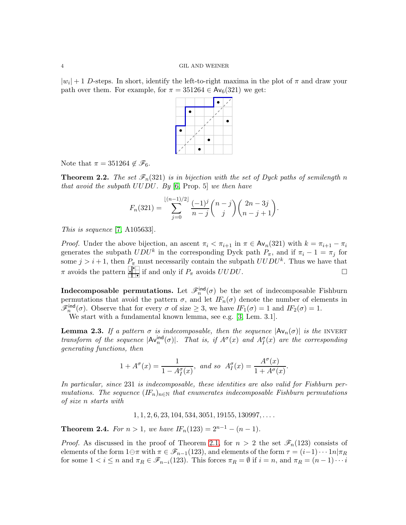$|w_i| + 1$  D-steps. In short, identify the left-to-right maxima in the plot of  $\pi$  and draw your path over them. For example, for  $\pi = 351264 \in Av_6(321)$  we get:

Note that  $\pi = 351264 \notin \mathscr{F}_6$ .

<span id="page-3-1"></span>**Theorem 2.2.** The set  $\mathscr{F}_n(321)$  is in bijection with the set of Dyck paths of semilength n that avoid the subpath  $UUDU$ . By [\[6,](#page-13-4) Prop. 5] we then have

$$
F_n(321) = \sum_{j=0}^{\lfloor (n-1)/2 \rfloor} \frac{(-1)^j}{n-j} {n-j \choose j} {2n-3j \choose n-j+1}.
$$

This is sequence [\[7,](#page-13-0) A105633].

*Proof.* Under the above bijection, an ascent  $\pi_i < \pi_{i+1}$  in  $\pi \in Av_n(321)$  with  $k = \pi_{i+1} - \pi_i$ generates the subpath  $UDU^k$  in the corresponding Dyck path  $P_{\pi}$ , and if  $\pi_i - 1 = \pi_j$  for some  $j > i + 1$ , then  $P_{\pi}$  must necessarily contain the subpath  $UUDU^k$ . Thus we have that  $\pi$  avoids the pattern **if** if and only if  $P_{\pi}$  avoids  $UUDU$ .

**Indecomposable permutations.** Let  $\mathscr{F}_n^{\text{ind}}(\sigma)$  be the set of indecomposable Fishburn permutations that avoid the pattern  $\sigma$ , and let  $IF_n(\sigma)$  denote the number of elements in  $\mathscr{F}_n^{\text{ind}}(\sigma)$ . Observe that for every  $\sigma$  of size  $\geq 3$ , we have  $IF_1(\sigma) = 1$  and  $IF_2(\sigma) = 1$ .

We start with a fundamental known lemma, see e.g. [\[3,](#page-13-5) Lem. 3.1].

<span id="page-3-0"></span>**Lemma 2.3.** If a pattern  $\sigma$  is indecomposable, then the sequence  $|\mathsf{Av}_n(\sigma)|$  is the INVERT transform of the sequence  $|\mathsf{Av}_n^{\text{ind}}(\sigma)|$ . That is, if  $A^{\sigma}(x)$  and  $A^{\sigma}_{I}(x)$  are the corresponding generating functions, then

$$
1 + A^{\sigma}(x) = \frac{1}{1 - A_I^{\sigma}(x)}
$$
, and so  $A_I^{\sigma}(x) = \frac{A^{\sigma}(x)}{1 + A^{\sigma}(x)}$ .

In particular, since 231 is indecomposable, these identities are also valid for Fishburn permutations. The sequence  $(F_n)_{n\in\mathbb{N}}$  that enumerates indecomposable Fishburn permutations of size n starts with

 $1, 1, 2, 6, 23, 104, 534, 3051, 19155, 130997, \ldots$ 

**Theorem 2.4.** For  $n > 1$ , we have  $IF_n(123) = 2^{n-1} - (n-1)$ .

*Proof.* As discussed in the proof of Theorem [2.1,](#page-1-1) for  $n > 2$  the set  $\mathscr{F}_n(123)$  consists of elements of the form  $1\ominus\pi$  with  $\pi \in \mathscr{F}_{n-1}(123)$ , and elements of the form  $\tau = (i-1)\cdots 1n|\pi_R$ for some  $1 < i \leq n$  and  $\pi_R \in \mathscr{F}_{n-i}(123)$ . This forces  $\pi_R = \emptyset$  if  $i = n$ , and  $\pi_R = (n-1)\cdots i$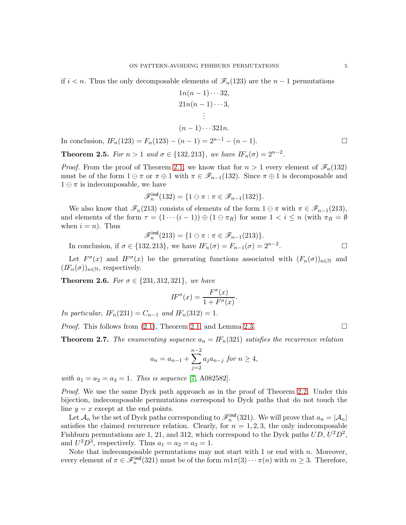if  $i < n$ . Thus the only decomposable elements of  $\mathscr{F}_n(123)$  are the  $n-1$  permutations

$$
1n(n-1)\cdots 32,
$$
  
\n
$$
21n(n-1)\cdots 3,
$$
  
\n
$$
\vdots
$$
  
\n
$$
(n-1)\cdots 321n.
$$

In conclusion,  $IF_n(123) = F_n(123) - (n-1) = 2^{n-1} - (n-1)$ . □

**Theorem 2.5.** For  $n > 1$  and  $\sigma \in \{132, 213\}$ , we have  $IF_n(\sigma) = 2^{n-2}$ .

*Proof.* From the proof of Theorem [2.1,](#page-1-1) we know that for  $n > 1$  every element of  $\mathscr{F}_n(132)$ must be of the form  $1 \ominus \pi$  or  $\pi \oplus 1$  with  $\pi \in \mathscr{F}_{n-1}(132)$ . Since  $\pi \oplus 1$  is decomposable and  $1 \ominus \pi$  is indecomposable, we have

$$
\mathscr{F}_n^{\text{ind}}(132) = \{1 \ominus \pi : \pi \in \mathscr{F}_{n-1}(132)\}.
$$

We also know that  $\mathscr{F}_n(213)$  consists of elements of the form  $1 \ominus \pi$  with  $\pi \in \mathscr{F}_{n-1}(213)$ , and elements of the form  $\tau = (1 \cdots (i-1)) \oplus (1 \ominus \pi_R)$  for some  $1 < i \leq n$  (with  $\pi_R = \emptyset$ when  $i = n$ ). Thus

$$
\mathscr{F}_n^{\text{ind}}(213) = \{1 \ominus \pi : \pi \in \mathscr{F}_{n-1}(213)\}.
$$
  
In conclusion, if  $\sigma \in \{132, 213\}$ , we have  $IF_n(\sigma) = F_{n-1}(\sigma) = 2^{n-2}$ .

Let  $F^{\sigma}(x)$  and  $F^{\sigma}(x)$  be the generating functions associated with  $(F_n(\sigma))_{n\in\mathbb{N}}$  and  $(IF_n(\sigma))_{n\in\mathbb{N}}$ , respectively.

**Theorem 2.6.** For  $\sigma \in \{231, 312, 321\}$ , we have

$$
IF^{\sigma}(x) = \frac{F^{\sigma}(x)}{1 + F^{\sigma}(x)}.
$$

In particular,  $IF_n(231) = C_{n-1}$  and  $IF_n(312) = 1$ .

*Proof.* This follows from  $(2.1)$ , Theorem [2.1,](#page-1-1) and Lemma [2.3.](#page-3-0)

**Theorem 2.7.** The enumerating sequence  $a_n = IF_n(321)$  satisfies the recurrence relation

$$
a_n = a_{n-1} + \sum_{j=2}^{n-2} a_j a_{n-j} \text{ for } n \ge 4,
$$

with  $a_1 = a_2 = a_3 = 1$ . This is sequence [\[7,](#page-13-0) A082582].

Proof. We use the same Dyck path approach as in the proof of Theorem [2.2.](#page-3-1) Under this bijection, indecomposable permutations correspond to Dyck paths that do not touch the line  $y = x$  except at the end points.

Let  $\mathcal{A}_n$  be the set of Dyck paths corresponding to  $\mathscr{F}_n^{\text{ind}}(321)$ . We will prove that  $a_n = |\mathcal{A}_n|$ satisfies the claimed recurrence relation. Clearly, for  $n = 1, 2, 3$ , the only indecomposable Fishburn permutations are 1, 21, and 312, which correspond to the Dyck paths  $UD, U^2D^2$ , and  $U^3 D^3$ , respectively. Thus  $a_1 = a_2 = a_3 = 1$ .

Note that indecomposable permutations may not start with 1 or end with  $n$ . Moreover, every element of  $\pi \in \mathscr{F}_n^{\text{ind}}(321)$  must be of the form  $m1\pi(3)\cdots\pi(n)$  with  $m\geq 3$ . Therefore,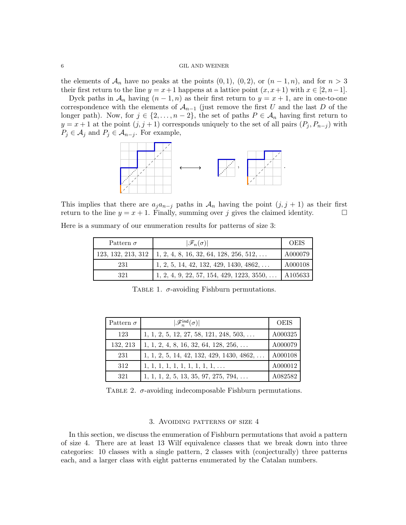the elements of  $\mathcal{A}_n$  have no peaks at the points  $(0, 1), (0, 2),$  or  $(n - 1, n)$ , and for  $n > 3$ their first return to the line  $y = x + 1$  happens at a lattice point  $(x, x + 1)$  with  $x \in [2, n-1]$ .

Dyck paths in  $\mathcal{A}_n$  having  $(n-1,n)$  as their first return to  $y=x+1$ , are in one-to-one correspondence with the elements of  $A_{n-1}$  (just remove the first U and the last D of the longer path). Now, for  $j \in \{2, ..., n-2\}$ , the set of paths  $P \in \mathcal{A}_n$  having first return to  $y = x + 1$  at the point  $(j, j + 1)$  corresponds uniquely to the set of all pairs  $(P_j, P_{n-j})$  with  $P_j \in \mathcal{A}_j$  and  $P_j \in \mathcal{A}_{n-j}$ . For example,



This implies that there are  $a_j a_{n-j}$  paths in  $\mathcal{A}_n$  having the point  $(j, j + 1)$  as their first return to the line  $y = x + 1$ . Finally, summing over j gives the claimed identity.

Here is a summary of our enumeration results for patterns of size 3:

| Pattern $\sigma$   | $ \mathscr{F}_n(\sigma) $                          | <b>OEIS</b> |
|--------------------|----------------------------------------------------|-------------|
| 123, 132, 213, 312 | $1, 2, 4, 8, 16, 32, 64, 128, 256, 512, \ldots$    | A000079     |
| 231                | $1, 2, 5, 14, 42, 132, 429, 1430, 4862, \ldots$    | A000108     |
| 321                | $1, 2, 4, 9, 22, 57, 154, 429, 1223, 3550, \ldots$ | A105633     |

<span id="page-5-0"></span>TABLE 1.  $\sigma$ -avoiding Fishburn permutations.

| Pattern $\sigma$ | $ \mathscr{F}_n^{\text{ind}}(\sigma) $             | <b>OEIS</b> |
|------------------|----------------------------------------------------|-------------|
| 123              | $1, 1, 2, 5, 12, 27, 58, 121, 248, 503, \ldots$    | A000325     |
| 132, 213         | $1, 1, 2, 4, 8, 16, 32, 64, 128, 256, \ldots$      | A000079     |
| 231              | $1, 1, 2, 5, 14, 42, 132, 429, 1430, 4862, \ldots$ | A000108     |
| 312              | $1, 1, 1, 1, 1, 1, 1, 1, 1, 1, \ldots$             | A000012     |
| 321              | $1, 1, 1, 2, 5, 13, 35, 97, 275, 794, \ldots$      | A082582     |

TABLE 2.  $\sigma$ -avoiding indecomposable Fishburn permutations.

### <span id="page-5-1"></span>3. Avoiding patterns of size 4

<span id="page-5-2"></span>In this section, we discuss the enumeration of Fishburn permutations that avoid a pattern of size 4. There are at least 13 Wilf equivalence classes that we break down into three categories: 10 classes with a single pattern, 2 classes with (conjecturally) three patterns each, and a larger class with eight patterns enumerated by the Catalan numbers.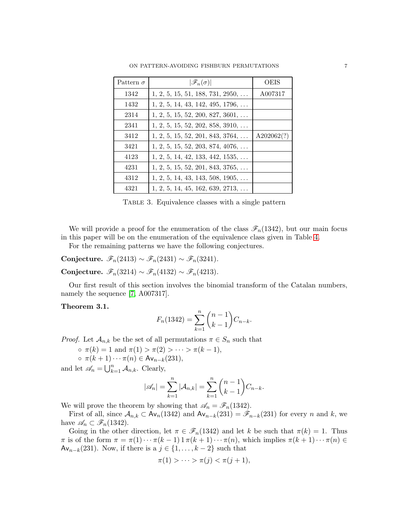| Pattern $\sigma$ | $ \mathscr{F}_n(\sigma) $                 | <b>OEIS</b> |
|------------------|-------------------------------------------|-------------|
| 1342             | $1, 2, 5, 15, 51, 188, 731, 2950, \ldots$ | A007317     |
| 1432             | $1, 2, 5, 14, 43, 142, 495, 1796, \ldots$ |             |
| 2314             | $1, 2, 5, 15, 52, 200, 827, 3601, \ldots$ |             |
| 2341             | $1, 2, 5, 15, 52, 202, 858, 3910, \ldots$ |             |
| 3412             | $1, 2, 5, 15, 52, 201, 843, 3764, \ldots$ | A202062(?)  |
| 3421             | $1, 2, 5, 15, 52, 203, 874, 4076, \ldots$ |             |
| 4123             | $1, 2, 5, 14, 42, 133, 442, 1535, \ldots$ |             |
| 4231             | $1, 2, 5, 15, 52, 201, 843, 3765, \ldots$ |             |
| 4312             | $1, 2, 5, 14, 43, 143, 508, 1905, \ldots$ |             |
| 4321             | $1, 2, 5, 14, 45, 162, 639, 2713, \ldots$ |             |

<span id="page-6-0"></span>Table 3. Equivalence classes with a single pattern

We will provide a proof for the enumeration of the class  $\mathscr{F}_n(1342)$ , but our main focus in this paper will be on the enumeration of the equivalence class given in Table [4.](#page-7-0)

For the remaining patterns we have the following conjectures.

Conjecture.  $\mathscr{F}_n(2413) \sim \mathscr{F}_n(2431) \sim \mathscr{F}_n(3241)$ .

Conjecture.  $\mathscr{F}_n(3214) \sim \mathscr{F}_n(4132) \sim \mathscr{F}_n(4213)$ .

Our first result of this section involves the binomial transform of the Catalan numbers, namely the sequence [\[7,](#page-13-0) A007317].

## Theorem 3.1.

$$
F_n(1342) = \sum_{k=1}^n \binom{n-1}{k-1} C_{n-k}.
$$

*Proof.* Let  $\mathcal{A}_{n,k}$  be the set of all permutations  $\pi \in S_n$  such that

$$
\circ \ \pi(k) = 1 \text{ and } \pi(1) > \pi(2) > \cdots > \pi(k-1),
$$

$$
\circ \ \pi(k+1)\cdots\pi(n) \in \mathsf{Av}_{n-k}(231),
$$

and let  $\mathscr{A}_n = \bigcup_{k=1}^n \mathcal{A}_{n,k}$ . Clearly,

$$
|\mathcal{A}_n| = \sum_{k=1}^n |\mathcal{A}_{n,k}| = \sum_{k=1}^n {n-1 \choose k-1} C_{n-k}.
$$

We will prove the theorem by showing that  $\mathscr{A}_n = \mathscr{F}_n(1342)$ .

First of all, since  $A_{n,k} \subset \mathsf{Av}_n(1342)$  and  $\mathsf{Av}_{n-k}(231) = \mathscr{F}_{n-k}(231)$  for every n and k, we have  $\mathscr{A}_n \subset \mathscr{F}_n(1342)$ .

Going in the other direction, let  $\pi \in \mathscr{F}_n(1342)$  and let k be such that  $\pi(k) = 1$ . Thus  $\pi$  is of the form  $\pi = \pi(1) \cdots \pi(k-1) 1 \pi(k+1) \cdots \pi(n)$ , which implies  $\pi(k+1) \cdots \pi(n) \in$ Av<sub>n−k</sub>(231). Now, if there is a  $j \in \{1, ..., k-2\}$  such that

$$
\pi(1) > \dots > \pi(j) < \pi(j+1),
$$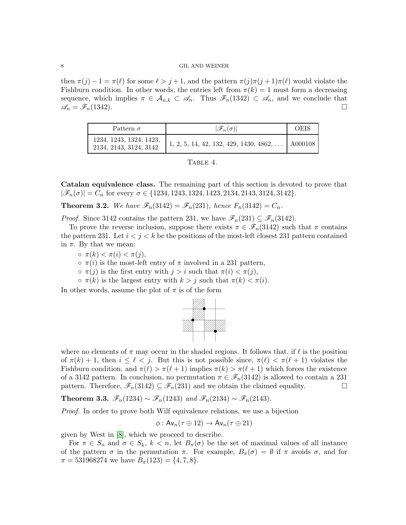then  $\pi(j) - 1 = \pi(\ell)$  for some  $\ell > j + 1$ , and the pattern  $\pi(j)\pi(j+1)\pi(\ell)$  would violate the Fishburn condition. In other words, the entries left from  $\pi(k) = 1$  must form a decreasing sequence, which implies  $\pi \in A_{n,k} \subset \mathscr{A}_n$ . Thus  $\mathscr{F}_n(1342) \subset \mathscr{A}_n$ , and we conclude that  $\mathscr{A}_n = \mathscr{F}_n(1342).$ 

| Pattern $\sigma$                                  | $ \mathscr{F}_n(\sigma) $                       | <b>OEIS</b> |
|---------------------------------------------------|-------------------------------------------------|-------------|
| 1234, 1243, 1324, 1423,<br>2134, 2143, 3124, 3142 | $1, 2, 5, 14, 42, 132, 429, 1430, 4862, \ldots$ | A000108     |

<span id="page-7-0"></span>

|--|--|

Catalan equivalence class. The remaining part of this section is devoted to prove that  $|\mathscr{F}_n(\sigma)| = C_n$  for every  $\sigma \in \{1234, 1243, 1324, 1423, 2134, 2143, 3124, 3142\}.$ 

<span id="page-7-2"></span>**Theorem 3.2.** We have  $\mathscr{F}_n(3142) = \mathscr{F}_n(231)$ , hence  $F_n(3142) = C_n$ .

*Proof.* Since 3142 contains the pattern 231, we have  $\mathscr{F}_n(231) \subseteq \mathscr{F}_n(3142)$ .

To prove the reverse inclusion, suppose there exists  $\pi \in \mathscr{F}_n(3142)$  such that  $\pi$  contains the pattern 231. Let  $i < j < k$  be the positions of the most-left closest 231 pattern contained in  $\pi$ . By that we mean:

- $\sigma \pi(k) < \pi(i) < \pi(j),$
- $\circ \pi(i)$  is the most-left entry of  $\pi$  involved in a 231 pattern,
- $\circ \pi(j)$  is the first entry with  $j > i$  such that  $\pi(i) < \pi(j)$ ,
- $\circ \pi(k)$  is the largest entry with  $k > j$  such that  $\pi(k) < \pi(i)$ .

In other words, assume the plot of  $\pi$  is of the form



where no elements of  $\pi$  may occur in the shaded regions. It follows that, if  $\ell$  is the position of  $\pi(k) + 1$ , then  $i \leq \ell \leq j$ . But this is not possible since,  $\pi(\ell) \leq \pi(\ell+1)$  violates the Fishburn condition, and  $\pi(\ell) > \pi(\ell+1)$  implies  $\pi(k) > \pi(\ell+1)$  which forces the existence of a 3142 pattern. In conclusion, no permutation  $\pi \in \mathscr{F}_n(3142)$  is allowed to contain a 231 pattern. Therefore,  $\mathscr{F}_n(3142) \subseteq \mathscr{F}_n(231)$  and we obtain the claimed equality.

<span id="page-7-1"></span>Theorem 3.3.  $\mathscr{F}_n(1234) \sim \mathscr{F}_n(1243)$  and  $\mathscr{F}_n(2134) \sim \mathscr{F}_n(2143)$ .

Proof. In order to prove both Wilf equivalence relations, we use a bijection

$$
\phi: \mathsf{Av}_n(\tau \oplus 12) \to \mathsf{Av}_n(\tau \oplus 21)
$$

given by West in [\[8\]](#page-13-6), which we proceed to describe.

For  $\pi \in S_n$  and  $\sigma \in S_k$ ,  $k < n$ , let  $B_{\pi}(\sigma)$  be the set of maximal values of all instance of the pattern  $\sigma$  in the permutation  $\pi$ . For example,  $B_{\pi}(\sigma) = \emptyset$  if  $\pi$  avoids  $\sigma$ , and for  $\pi = 531968274$  we have  $B_{\pi}(123) = \{4, 7, 8\}.$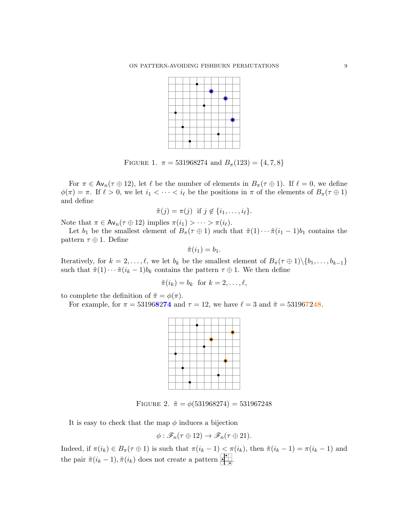

FIGURE 1.  $\pi = 531968274$  and  $B_{\pi}(123) = \{4, 7, 8\}$ 

For  $\pi \in Av_n(\tau \oplus 12)$ , let  $\ell$  be the number of elements in  $B_{\pi}(\tau \oplus 1)$ . If  $\ell = 0$ , we define  $\phi(\pi) = \pi$ . If  $\ell > 0$ , we let  $i_1 < \cdots < i_\ell$  be the positions in  $\pi$  of the elements of  $B_\pi(\tau \oplus 1)$ and define

$$
\tilde{\pi}(j) = \pi(j) \text{ if } j \notin \{i_1, \ldots, i_\ell\}.
$$

Note that  $\pi \in \mathsf{Av}_n(\tau \oplus 12)$  implies  $\pi(i_1) > \cdots > \pi(i_\ell)$ .

Let  $b_1$  be the smallest element of  $B_\pi(\tau \oplus 1)$  such that  $\tilde{\pi}(1) \cdots \tilde{\pi}(i_1-1)b_1$  contains the pattern  $\tau \oplus 1$ . Define

$$
\tilde{\pi}(i_1)=b_1.
$$

Iteratively, for  $k = 2, ..., \ell$ , we let  $b_k$  be the smallest element of  $B_{\pi}(\tau \oplus 1) \setminus \{b_1, ..., b_{k-1}\}\$ such that  $\tilde{\pi}(1) \cdots \tilde{\pi}(i_k - 1)b_k$  contains the pattern  $\tau \oplus 1$ . We then define

$$
\tilde{\pi}(i_k) = b_k \text{ for } k = 2, \dots, \ell,
$$

to complete the definition of  $\tilde{\pi} = \phi(\pi)$ .

For example, for  $\pi = 531968274$  and  $\tau = 12$ , we have  $\ell = 3$  and  $\tilde{\pi} = 531967248$ .

FIGURE 2.  $\tilde{\pi} = \phi(531968274) = 531967248$ 

It is easy to check that the map  $\phi$  induces a bijection

$$
\phi : \mathscr{F}_n(\tau \oplus 12) \to \mathscr{F}_n(\tau \oplus 21).
$$

Indeed, if  $\pi(i_k) \in B_{\pi}(\tau \oplus 1)$  is such that  $\pi(i_k - 1) < \pi(i_k)$ , then  $\tilde{\pi}(i_k - 1) = \pi(i_k - 1)$  and the pair  $\tilde{\pi}(i_k - 1), \tilde{\pi}(i_k)$  does not create a pattern  $\begin{array}{c} \blacksquare \\ \blacksquare \end{array}$ .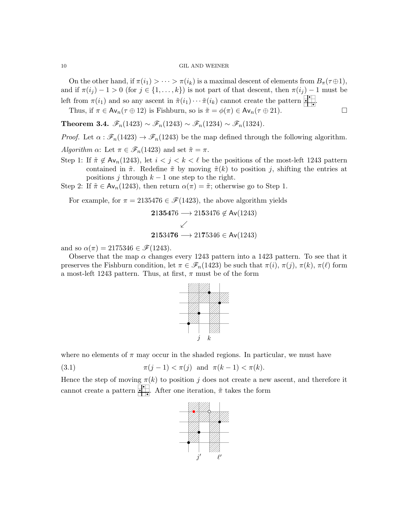On the other hand, if  $\pi(i_1) > \cdots > \pi(i_k)$  is a maximal descent of elements from  $B_{\pi}(\tau \oplus 1)$ , and if  $\pi(i_j) - 1 > 0$  (for  $j \in \{1, ..., k\}$ ) is not part of that descent, then  $\pi(i_j) - 1$  must be left from  $\pi(i_1)$  and so any ascent in  $\tilde{\pi}(i_1)\cdots\tilde{\pi}(i_k)$  cannot create the pattern  $\begin{array}{c} \blacksquare\end{array}$ .

Thus, if  $\pi \in \mathsf{Av}_n(\tau \oplus 12)$  is Fishburn, so is  $\tilde{\pi} = \phi(\pi) \in \mathsf{Av}_n(\tau \oplus 21)$ .

<span id="page-9-1"></span>Theorem 3.4.  $\mathscr{F}_n(1423) \sim \mathscr{F}_n(1243) \sim \mathscr{F}_n(1234) \sim \mathscr{F}_n(1324)$ .

*Proof.* Let  $\alpha : \mathscr{F}_n(1423) \to \mathscr{F}_n(1243)$  be the map defined through the following algorithm.

Algorithm  $\alpha$ : Let  $\pi \in \mathscr{F}_n(1423)$  and set  $\tilde{\pi} = \pi$ .

- Step 1: If  $\tilde{\pi} \notin \mathsf{Av}_n(1243)$ , let  $i < j < k < \ell$  be the positions of the most-left 1243 pattern contained in  $\tilde{\pi}$ . Redefine  $\tilde{\pi}$  by moving  $\tilde{\pi}(k)$  to position j, shifting the entries at positions j through  $k-1$  one step to the right.
- Step 2: If  $\tilde{\pi} \in Av_n(1243)$ , then return  $\alpha(\pi) = \tilde{\pi}$ ; otherwise go to Step 1.

For example, for  $\pi = 2135476 \in \mathcal{F}(1423)$ , the above algorithm yields

2135476 → 2153476 
$$
\notin
$$
 Av(1243)  
\n $\swarrow$   
\n2153476 → 2175346  $\in$  Av(1243)

21364 − 21544 − 21544 − 21544 − 21544 − 21544 − 21544 − 21544 − 21544 − 21544 − 21544

and so  $\alpha(\pi) = 2175346 \in \mathcal{F}(1243)$ .

Observe that the map  $\alpha$  changes every 1243 pattern into a 1423 pattern. To see that it preserves the Fishburn condition, let  $\pi \in \mathscr{F}_n(1423)$  be such that  $\pi(i), \pi(j), \pi(k), \pi(\ell)$  form a most-left 1243 pattern. Thus, at first,  $\pi$  must be of the form



where no elements of  $\pi$  may occur in the shaded regions. In particular, we must have

(3.1)  $\pi(j-1) < \pi(j)$  and  $\pi(k-1) < \pi(k)$ .

Hence the step of moving  $\pi(k)$  to position j does not create a new ascent, and therefore it cannot create a pattern  $\begin{array}{c} \begin{array}{c} \bullet \\ \bullet \end{array}$ . After one iteration,  $\tilde{\pi}$  takes the form

<span id="page-9-0"></span>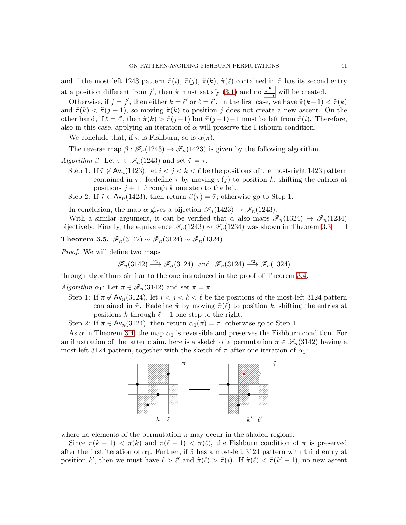and if the most-left 1243 pattern  $\tilde{\pi}(i)$ ,  $\tilde{\pi}(j)$ ,  $\tilde{\pi}(k)$ ,  $\tilde{\pi}(l)$  contained in  $\tilde{\pi}$  has its second entry at a position different from j', then  $\tilde{\pi}$  must satisfy [\(3.1\)](#page-9-0) and no will be created.

Otherwise, if  $j = j'$ , then either  $k = \ell'$  or  $\ell = \ell'$ . In the first case, we have  $\tilde{\pi}(k-1) < \tilde{\pi}(k)$ and  $\tilde{\pi}(k) < \tilde{\pi}(j-1)$ , so moving  $\tilde{\pi}(k)$  to position j does not create a new ascent. On the other hand, if  $\ell = \ell'$ , then  $\tilde{\pi}(k) > \tilde{\pi}(j-1)$  but  $\tilde{\pi}(j-1)-1$  must be left from  $\tilde{\pi}(i)$ . Therefore, also in this case, applying an iteration of  $\alpha$  will preserve the Fishburn condition.

We conclude that, if  $\pi$  is Fishburn, so is  $\alpha(\pi)$ .

The reverse map  $\beta : \mathscr{F}_n(1243) \to \mathscr{F}_n(1423)$  is given by the following algorithm.

Algorithm  $\beta$ : Let  $\tau \in \mathscr{F}_n(1243)$  and set  $\tilde{\tau} = \tau$ .

- Step 1: If  $\tilde{\tau} \notin \mathsf{Av}_n(1423)$ , let  $i < j < k < \ell$  be the positions of the most-right 1423 pattern contained in  $\tilde{\tau}$ . Redefine  $\tilde{\tau}$  by moving  $\tilde{\tau}(i)$  to position k, shifting the entries at positions  $j + 1$  through k one step to the left.
- Step 2: If  $\tilde{\tau} \in Av_n(1423)$ , then return  $\beta(\tau) = \tilde{\tau}$ ; otherwise go to Step 1.

In conclusion, the map  $\alpha$  gives a bijection  $\mathscr{F}_n(1423) \to \mathscr{F}_n(1243)$ .

With a similar argument, it can be verified that  $\alpha$  also maps  $\mathscr{F}_n(1324) \to \mathscr{F}_n(1234)$ bijectively. Finally, the equivalence  $\mathscr{F}_n(1243) \sim \mathscr{F}_n(1234)$  was shown in Theorem [3.3.](#page-7-1) □

Theorem 3.5.  $\mathscr{F}_n(3142) \sim \mathscr{F}_n(3124) \sim \mathscr{F}_n(1324)$ .

Proof. We will define two maps

 $\mathscr{F}_n(3142) \xrightarrow{\alpha_1} \mathscr{F}_n(3124)$  and  $\mathscr{F}_n(3124) \xrightarrow{\alpha_2} \mathscr{F}_n(1324)$ 

through algorithms similar to the one introduced in the proof of Theorem [3.4.](#page-9-1)

Algorithm  $\alpha_1$ : Let  $\pi \in \mathscr{F}_n(3142)$  and set  $\tilde{\pi} = \pi$ .

Step 1: If  $\tilde{\pi} \notin \mathsf{Av}_n(3124)$ , let  $i < j < k < \ell$  be the positions of the most-left 3124 pattern contained in  $\tilde{\pi}$ . Redefine  $\tilde{\pi}$  by moving  $\tilde{\pi}(\ell)$  to position k, shifting the entries at positions k through  $\ell - 1$  one step to the right.

Step 2: If  $\tilde{\pi} \in Av_n(3124)$ , then return  $\alpha_1(\pi) = \tilde{\pi}$ ; otherwise go to Step 1.

As  $\alpha$  in Theorem [3.4,](#page-9-1) the map  $\alpha_1$  is reversible and preserves the Fishburn condition. For an illustration of the latter claim, here is a sketch of a permutation  $\pi \in \mathscr{F}_n(3142)$  having a most-left 3124 pattern, together with the sketch of  $\tilde{\pi}$  after one iteration of  $\alpha_1$ :



where no elements of the permutation  $\pi$  may occur in the shaded regions.

Since  $\pi(k-1) < \pi(k)$  and  $\pi(\ell-1) < \pi(\ell)$ , the Fishburn condition of  $\pi$  is preserved after the first iteration of  $\alpha_1$ . Further, if  $\tilde{\pi}$  has a most-left 3124 pattern with third entry at position k', then we must have  $\ell > \ell'$  and  $\tilde{\pi}(\ell) > \tilde{\pi}(i)$ . If  $\tilde{\pi}(\ell) < \tilde{\pi}(k'-1)$ , no new ascent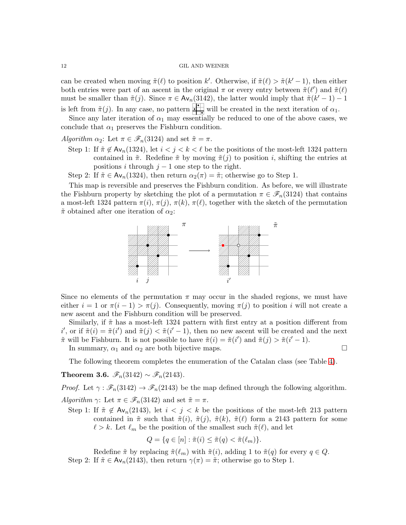can be created when moving  $\tilde{\pi}(\ell)$  to position k'. Otherwise, if  $\tilde{\pi}(\ell) > \tilde{\pi}(k'-1)$ , then either both entries were part of an ascent in the original  $\pi$  or every entry between  $\tilde{\pi}(\ell')$  and  $\tilde{\pi}(\ell)$ must be smaller than  $\tilde{\pi}(j)$ . Since  $\pi \in Av_n(3142)$ , the latter would imply that  $\tilde{\pi}(k'-1) - 1$ is left from  $\pi(j)$ . In any case, no pattern will be created in the next iteration of  $\alpha_1$ .

Since any later iteration of  $\alpha_1$  may essentially be reduced to one of the above cases, we conclude that  $\alpha_1$  preserves the Fishburn condition.

Algorithm  $\alpha_2$ : Let  $\pi \in \mathscr{F}_n(3124)$  and set  $\tilde{\pi} = \pi$ .

- Step 1: If  $\tilde{\pi} \notin \mathsf{Av}_n(1324)$ , let  $i < j < k < \ell$  be the positions of the most-left 1324 pattern contained in  $\tilde{\pi}$ . Redefine  $\tilde{\pi}$  by moving  $\tilde{\pi}(j)$  to position i, shifting the entries at positions i through  $j-1$  one step to the right.
- Step 2: If  $\tilde{\pi} \in Av_n(1324)$ , then return  $\alpha_2(\pi) = \tilde{\pi}$ ; otherwise go to Step 1.

This map is reversible and preserves the Fishburn condition. As before, we will illustrate the Fishburn property by sketching the plot of a permutation  $\pi \in \mathscr{F}_n(3124)$  that contains a most-left 1324 pattern  $\pi(i)$ ,  $\pi(j)$ ,  $\pi(k)$ ,  $\pi(\ell)$ , together with the sketch of the permutation  $\tilde{\pi}$  obtained after one iteration of  $\alpha_2$ :



Since no elements of the permutation  $\pi$  may occur in the shaded regions, we must have either  $i = 1$  or  $\pi(i-1) > \pi(j)$ . Consequently, moving  $\pi(j)$  to position i will not create a new ascent and the Fishburn condition will be preserved.

Similarly, if  $\tilde{\pi}$  has a most-left 1324 pattern with first entry at a position different from i', or if  $\tilde{\pi}(i) = \tilde{\pi}(i')$  and  $\tilde{\pi}(j) < \tilde{\pi}(i'-1)$ , then no new ascent will be created and the next  $\tilde{\pi}$  will be Fishburn. It is not possible to have  $\tilde{\pi}(i) = \tilde{\pi}(i')$  and  $\tilde{\pi}(j) > \tilde{\pi}(i'-1)$ .

In summary,  $\alpha_1$  and  $\alpha_2$  are both bijective maps.

The following theorem completes the enumeration of the Catalan class (see Table [4\)](#page-7-0).

Theorem 3.6.  $\mathscr{F}_n(3142) \sim \mathscr{F}_n(2143)$ .

*Proof.* Let  $\gamma : \mathscr{F}_n(3142) \to \mathscr{F}_n(2143)$  be the map defined through the following algorithm.

Algorithm  $\gamma$ : Let  $\pi \in \mathscr{F}_n(3142)$  and set  $\tilde{\pi} = \pi$ .

Step 1: If  $\tilde{\pi} \notin \mathsf{Av}_n(2143)$ , let  $i < j < k$  be the positions of the most-left 213 pattern contained in  $\tilde{\pi}$  such that  $\tilde{\pi}(i)$ ,  $\tilde{\pi}(j)$ ,  $\tilde{\pi}(k)$ ,  $\tilde{\pi}(\ell)$  form a 2143 pattern for some  $\ell > k$ . Let  $\ell_m$  be the position of the smallest such  $\tilde{\pi}(\ell)$ , and let

$$
Q = \{q \in [n] : \tilde{\pi}(i) \leq \tilde{\pi}(q) < \tilde{\pi}(\ell_m)\}.
$$

Redefine  $\tilde{\pi}$  by replacing  $\tilde{\pi}(\ell_m)$  with  $\tilde{\pi}(i)$ , adding 1 to  $\tilde{\pi}(q)$  for every  $q \in Q$ . Step 2: If  $\tilde{\pi} \in Av_n(2143)$ , then return  $\gamma(\pi) = \tilde{\pi}$ ; otherwise go to Step 1.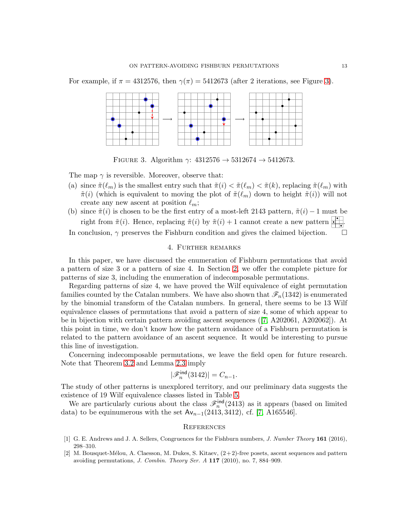For example, if  $\pi = 4312576$ , then  $\gamma(\pi) = 5412673$  (after 2 iterations, see Figure [3\)](#page-12-3).



<span id="page-12-3"></span>FIGURE 3. Algorithm  $\gamma$ : 4312576  $\rightarrow$  5312674  $\rightarrow$  5412673.

The map  $\gamma$  is reversible. Moreover, observe that:

- (a) since  $\tilde{\pi}(\ell_m)$  is the smallest entry such that  $\tilde{\pi}(i) < \tilde{\pi}(\ell_m) < \tilde{\pi}(k)$ , replacing  $\tilde{\pi}(\ell_m)$  with  $\tilde{\pi}(i)$  (which is equivalent to moving the plot of  $\tilde{\pi}(\ell_m)$  down to height  $\tilde{\pi}(i)$ ) will not create any new ascent at position  $\ell_m$ ;
- (b) since  $\tilde{\pi}(i)$  is chosen to be the first entry of a most-left 2143 pattern,  $\tilde{\pi}(i) 1$  must be right from  $\tilde{\pi}(i)$ . Hence, replacing  $\tilde{\pi}(i)$  by  $\tilde{\pi}(i) + 1$  cannot create a new pattern  $\begin{array}{c} \bullet \\ \bullet \end{array}$ In conclusion,  $\gamma$  preserves the Fishburn condition and gives the claimed bijection.  $\Box$

### 4. Further remarks

<span id="page-12-2"></span>In this paper, we have discussed the enumeration of Fishburn permutations that avoid a pattern of size 3 or a pattern of size 4. In Section [2,](#page-1-0) we offer the complete picture for patterns of size 3, including the enumeration of indecomposable permutations.

Regarding patterns of size 4, we have proved the Wilf equivalence of eight permutation families counted by the Catalan numbers. We have also shown that  $\mathscr{F}_n(1342)$  is enumerated by the binomial transform of the Catalan numbers. In general, there seems to be 13 Wilf equivalence classes of permutations that avoid a pattern of size 4, some of which appear to be in bijection with certain pattern avoiding ascent sequences ([\[7,](#page-13-0) A202061, A202062]). At this point in time, we don't know how the pattern avoidance of a Fishburn permutation is related to the pattern avoidance of an ascent sequence. It would be interesting to pursue this line of investigation.

Concerning indecomposable permutations, we leave the field open for future research. Note that Theorem [3.2](#page-7-2) and Lemma [2.3](#page-3-0) imply

$$
|\mathscr{F}^{\rm ind}_n(3142)|=C_{n-1}.
$$

The study of other patterns is unexplored territory, and our preliminary data suggests the existence of 19 Wilf equivalence classes listed in Table [5.](#page-13-1)

We are particularly curious about the class  $\mathscr{F}_n^{\text{ind}}(2413)$  as it appears (based on limited data) to be equinumerous with the set  $Av_{n-1}(2413, 3412)$ , cf. [\[7,](#page-13-0) A165546].

### **REFERENCES**

- <span id="page-12-0"></span>[1] G. E. Andrews and J. A. Sellers, Congruences for the Fishburn numbers, J. Number Theory 161 (2016), 298–310.
- <span id="page-12-1"></span>[2] M. Bousquet-Mélou, A. Claesson, M. Dukes, S. Kitaev,  $(2+2)$ -free posets, ascent sequences and pattern avoiding permutations, J. Combin. Theory Ser. A 117 (2010), no. 7, 884–909.